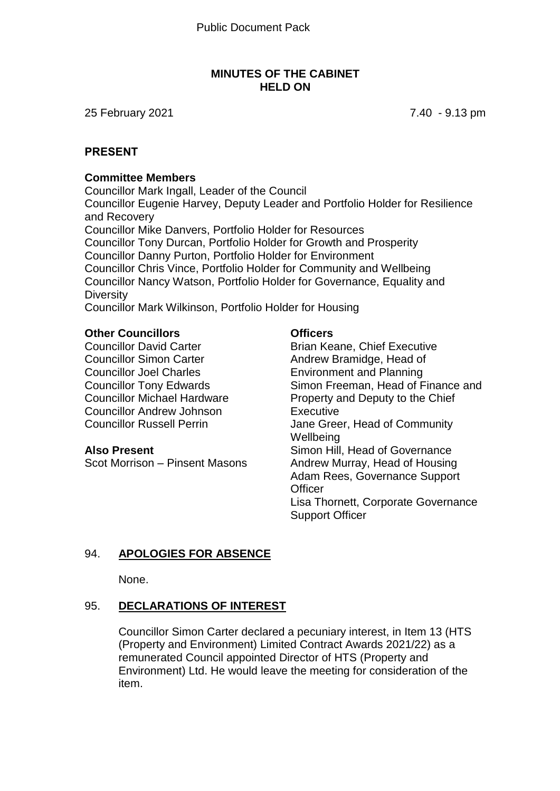### **MINUTES OF THE CABINET HELD ON**

25 February 2021 7.40 - 9.13 pm

### **PRESENT**

### **Committee Members**

Councillor Mark Ingall, Leader of the Council Councillor Eugenie Harvey, Deputy Leader and Portfolio Holder for Resilience and Recovery Councillor Mike Danvers, Portfolio Holder for Resources Councillor Tony Durcan, Portfolio Holder for Growth and Prosperity Councillor Danny Purton, Portfolio Holder for Environment Councillor Chris Vince, Portfolio Holder for Community and Wellbeing Councillor Nancy Watson, Portfolio Holder for Governance, Equality and **Diversity** 

Councillor Mark Wilkinson, Portfolio Holder for Housing

### **Other Councillors**

Councillor David Carter Councillor Simon Carter Councillor Joel Charles Councillor Tony Edwards Councillor Michael Hardware Councillor Andrew Johnson Councillor Russell Perrin

#### **Also Present**

Scot Morrison – Pinsent Masons

### **Officers**

Brian Keane, Chief Executive Andrew Bramidge, Head of Environment and Planning Simon Freeman, Head of Finance and Property and Deputy to the Chief Executive Jane Greer, Head of Community **Wellbeing** Simon Hill, Head of Governance Andrew Murray, Head of Housing Adam Rees, Governance Support **Officer** Lisa Thornett, Corporate Governance Support Officer

# 94. **APOLOGIES FOR ABSENCE**

None.

### 95. **DECLARATIONS OF INTEREST**

Councillor Simon Carter declared a pecuniary interest, in Item 13 (HTS (Property and Environment) Limited Contract Awards 2021/22) as a remunerated Council appointed Director of HTS (Property and Environment) Ltd. He would leave the meeting for consideration of the item.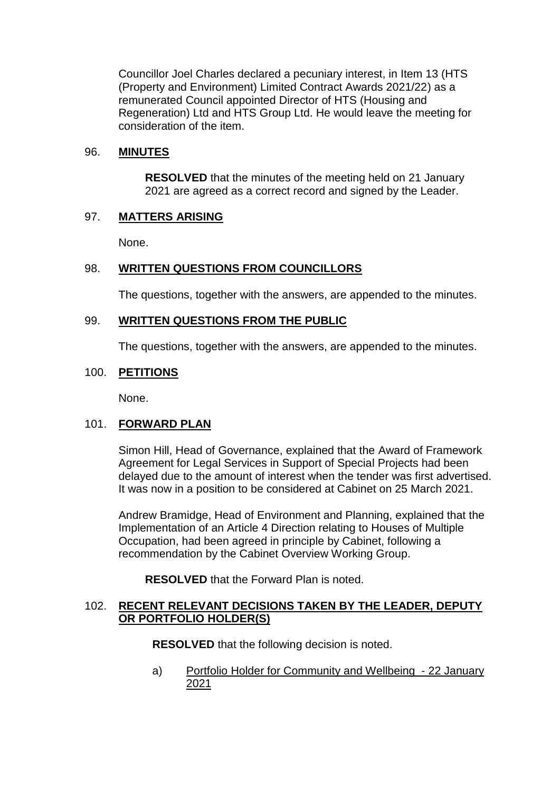Councillor Joel Charles declared a pecuniary interest, in Item 13 (HTS (Property and Environment) Limited Contract Awards 2021/22) as a remunerated Council appointed Director of HTS (Housing and Regeneration) Ltd and HTS Group Ltd. He would leave the meeting for consideration of the item.

# 96. **MINUTES**

**RESOLVED** that the minutes of the meeting held on 21 January 2021 are agreed as a correct record and signed by the Leader.

# 97. **MATTERS ARISING**

None.

# 98. **WRITTEN QUESTIONS FROM COUNCILLORS**

The questions, together with the answers, are appended to the minutes.

# 99. **WRITTEN QUESTIONS FROM THE PUBLIC**

The questions, together with the answers, are appended to the minutes.

### 100. **PETITIONS**

None.

### 101. **FORWARD PLAN**

Simon Hill, Head of Governance, explained that the Award of Framework Agreement for Legal Services in Support of Special Projects had been delayed due to the amount of interest when the tender was first advertised. It was now in a position to be considered at Cabinet on 25 March 2021.

Andrew Bramidge, Head of Environment and Planning, explained that the Implementation of an Article 4 Direction relating to Houses of Multiple Occupation, had been agreed in principle by Cabinet, following a recommendation by the Cabinet Overview Working Group.

**RESOLVED** that the Forward Plan is noted.

### 102. **RECENT RELEVANT DECISIONS TAKEN BY THE LEADER, DEPUTY OR PORTFOLIO HOLDER(S)**

**RESOLVED** that the following decision is noted.

a) Portfolio Holder for Community and Wellbeing - 22 January 2021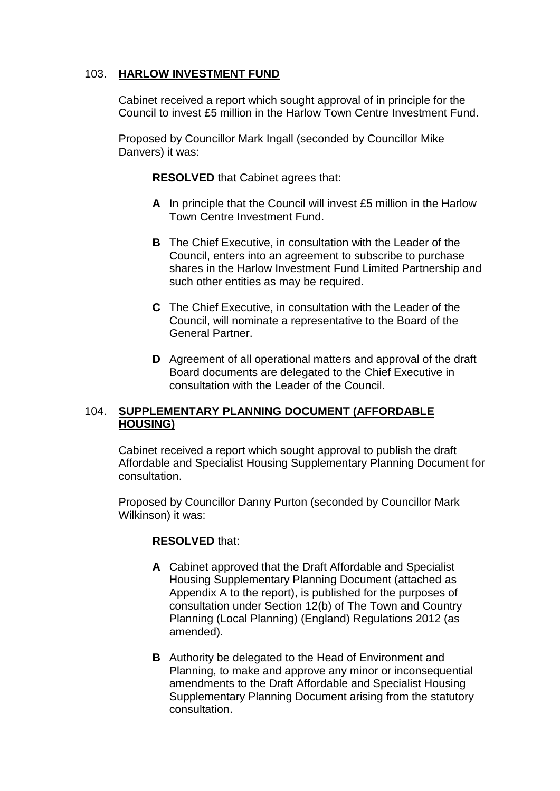# 103. **HARLOW INVESTMENT FUND**

Cabinet received a report which sought approval of in principle for the Council to invest £5 million in the Harlow Town Centre Investment Fund.

Proposed by Councillor Mark Ingall (seconded by Councillor Mike Danvers) it was:

**RESOLVED** that Cabinet agrees that:

- **A** In principle that the Council will invest £5 million in the Harlow Town Centre Investment Fund.
- **B** The Chief Executive, in consultation with the Leader of the Council, enters into an agreement to subscribe to purchase shares in the Harlow Investment Fund Limited Partnership and such other entities as may be required.
- **C** The Chief Executive, in consultation with the Leader of the Council, will nominate a representative to the Board of the General Partner.
- **D** Agreement of all operational matters and approval of the draft Board documents are delegated to the Chief Executive in consultation with the Leader of the Council.

# 104. **SUPPLEMENTARY PLANNING DOCUMENT (AFFORDABLE HOUSING)**

Cabinet received a report which sought approval to publish the draft Affordable and Specialist Housing Supplementary Planning Document for consultation.

Proposed by Councillor Danny Purton (seconded by Councillor Mark Wilkinson) it was:

### **RESOLVED** that:

- **A** Cabinet approved that the Draft Affordable and Specialist Housing Supplementary Planning Document (attached as Appendix A to the report), is published for the purposes of consultation under Section 12(b) of The Town and Country Planning (Local Planning) (England) Regulations 2012 (as amended).
- **B** Authority be delegated to the Head of Environment and Planning, to make and approve any minor or inconsequential amendments to the Draft Affordable and Specialist Housing Supplementary Planning Document arising from the statutory consultation.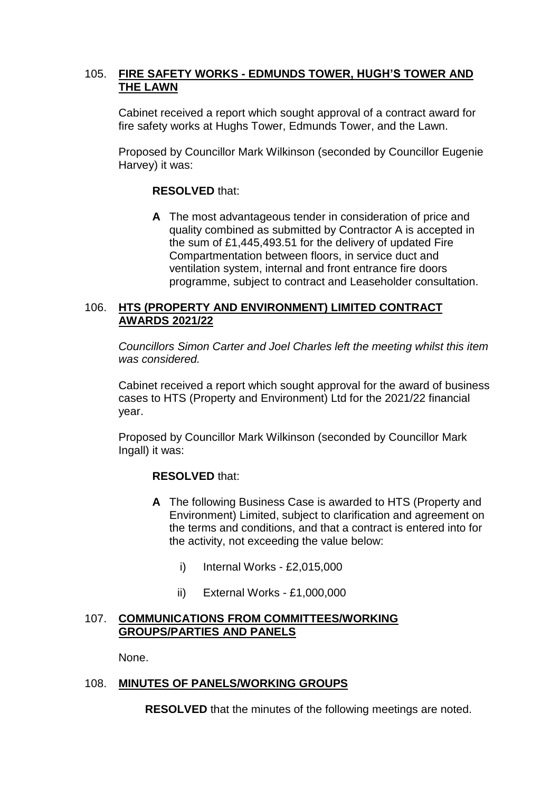# 105. **FIRE SAFETY WORKS - EDMUNDS TOWER, HUGH'S TOWER AND THE LAWN**

Cabinet received a report which sought approval of a contract award for fire safety works at Hughs Tower, Edmunds Tower, and the Lawn.

Proposed by Councillor Mark Wilkinson (seconded by Councillor Eugenie Harvey) it was:

## **RESOLVED** that:

**A** The most advantageous tender in consideration of price and quality combined as submitted by Contractor A is accepted in the sum of £1,445,493.51 for the delivery of updated Fire Compartmentation between floors, in service duct and ventilation system, internal and front entrance fire doors programme, subject to contract and Leaseholder consultation.

# 106. **HTS (PROPERTY AND ENVIRONMENT) LIMITED CONTRACT AWARDS 2021/22**

*Councillors Simon Carter and Joel Charles left the meeting whilst this item was considered.*

Cabinet received a report which sought approval for the award of business cases to HTS (Property and Environment) Ltd for the 2021/22 financial year.

Proposed by Councillor Mark Wilkinson (seconded by Councillor Mark Ingall) it was:

# **RESOLVED** that:

- **A** The following Business Case is awarded to HTS (Property and Environment) Limited, subject to clarification and agreement on the terms and conditions, and that a contract is entered into for the activity, not exceeding the value below:
	- i) Internal Works £2,015,000
	- ii) External Works £1,000,000

### 107. **COMMUNICATIONS FROM COMMITTEES/WORKING GROUPS/PARTIES AND PANELS**

None.

# 108. **MINUTES OF PANELS/WORKING GROUPS**

**RESOLVED** that the minutes of the following meetings are noted.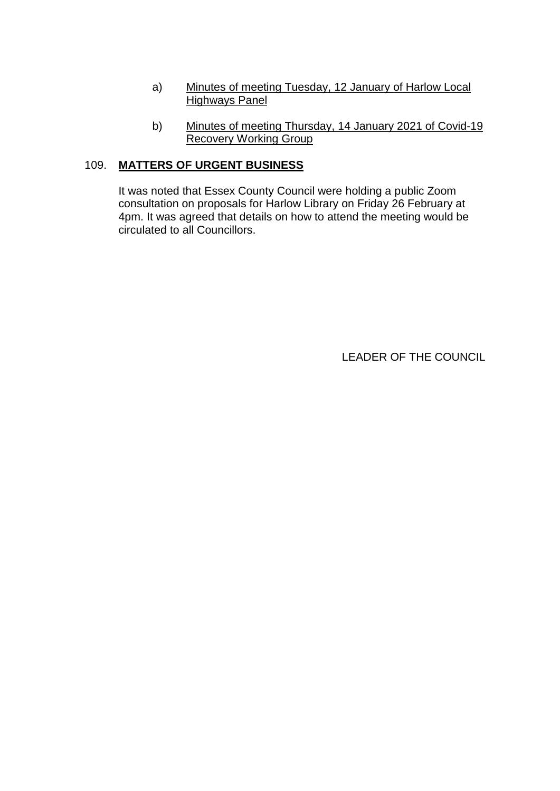- a) Minutes of meeting Tuesday, 12 January of Harlow Local Highways Panel
- b) Minutes of meeting Thursday, 14 January 2021 of Covid-19 Recovery Working Group

# 109. **MATTERS OF URGENT BUSINESS**

It was noted that Essex County Council were holding a public Zoom consultation on proposals for Harlow Library on Friday 26 February at 4pm. It was agreed that details on how to attend the meeting would be circulated to all Councillors.

LEADER OF THE COUNCIL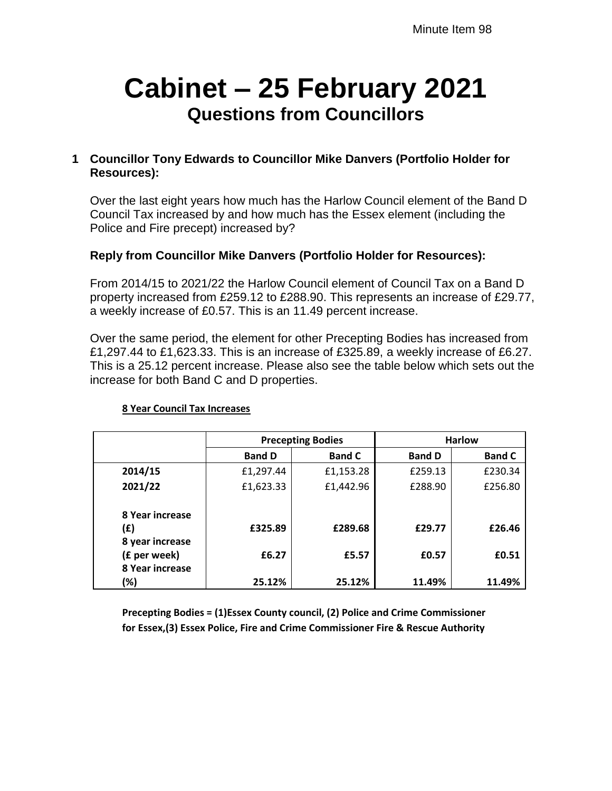# **Cabinet – 25 February 2021 Questions from Councillors**

# **1 Councillor Tony Edwards to Councillor Mike Danvers (Portfolio Holder for Resources):**

Over the last eight years how much has the Harlow Council element of the Band D Council Tax increased by and how much has the Essex element (including the Police and Fire precept) increased by?

# **Reply from Councillor Mike Danvers (Portfolio Holder for Resources):**

From 2014/15 to 2021/22 the Harlow Council element of Council Tax on a Band D property increased from £259.12 to £288.90. This represents an increase of £29.77, a weekly increase of £0.57. This is an 11.49 percent increase.

Over the same period, the element for other Precepting Bodies has increased from £1,297.44 to £1,623.33. This is an increase of £325.89, a weekly increase of £6.27. This is a 25.12 percent increase. Please also see the table below which sets out the increase for both Band C and D properties.

|                 | <b>Precepting Bodies</b> |               | <b>Harlow</b> |               |
|-----------------|--------------------------|---------------|---------------|---------------|
|                 | <b>Band D</b>            | <b>Band C</b> | <b>Band D</b> | <b>Band C</b> |
| 2014/15         | £1,297.44                | £1,153.28     | £259.13       | £230.34       |
| 2021/22         | £1,623.33                | £1,442.96     | £288.90       | £256.80       |
| 8 Year increase |                          |               |               |               |
| (£)             | £325.89                  | £289.68       | £29.77        | £26.46        |
| 8 year increase |                          |               |               |               |
| (£ per week)    | £6.27                    | £5.57         | £0.57         | £0.51         |
| 8 Year increase |                          |               |               |               |
| (%)             | 25.12%                   | 25.12%        | 11.49%        | 11.49%        |

#### **8 Year Council Tax Increases**

**Precepting Bodies = (1)Essex County council, (2) Police and Crime Commissioner for Essex,(3) Essex Police, Fire and Crime Commissioner Fire & Rescue Authority**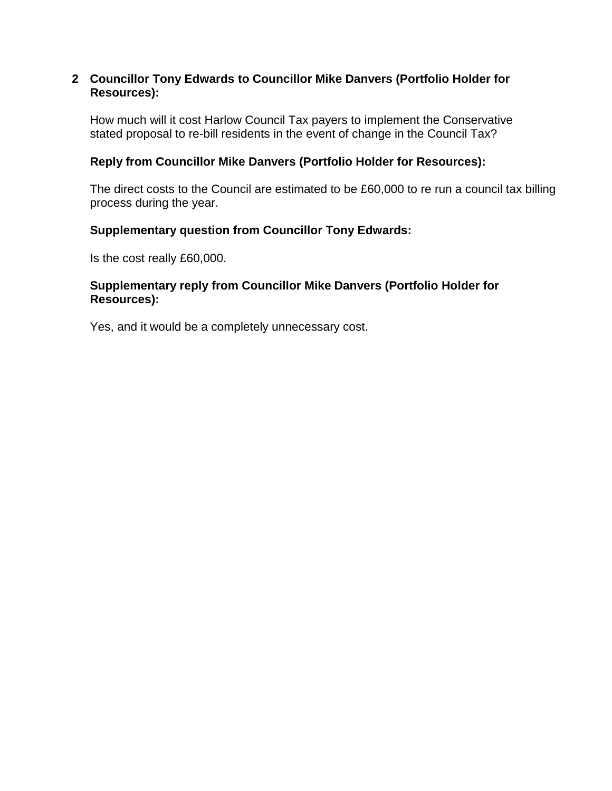### **2 Councillor Tony Edwards to Councillor Mike Danvers (Portfolio Holder for Resources):**

How much will it cost Harlow Council Tax payers to implement the Conservative stated proposal to re-bill residents in the event of change in the Council Tax?

# **Reply from Councillor Mike Danvers (Portfolio Holder for Resources):**

The direct costs to the Council are estimated to be £60,000 to re run a council tax billing process during the year.

# **Supplementary question from Councillor Tony Edwards:**

Is the cost really £60,000.

### **Supplementary reply from Councillor Mike Danvers (Portfolio Holder for Resources):**

Yes, and it would be a completely unnecessary cost.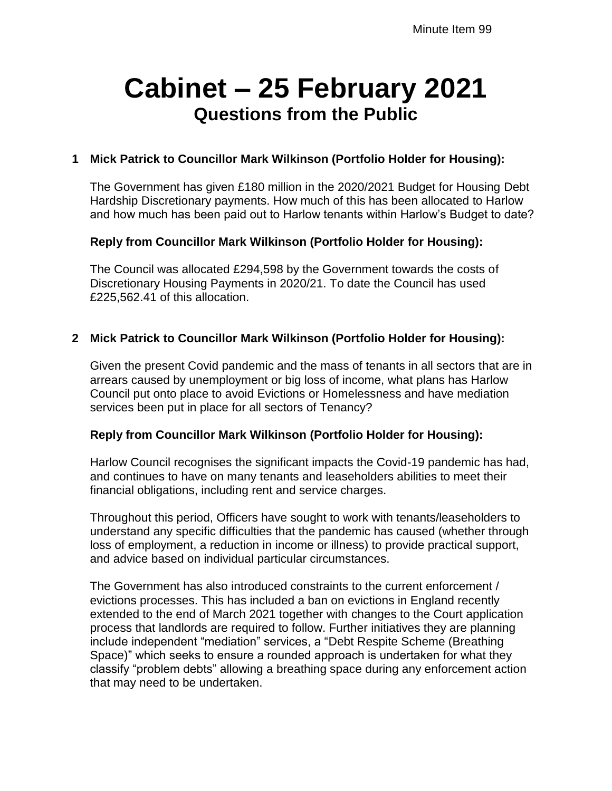# **Cabinet – 25 February 2021 Questions from the Public**

# **1 Mick Patrick to Councillor Mark Wilkinson (Portfolio Holder for Housing):**

The Government has given £180 million in the 2020/2021 Budget for Housing Debt Hardship Discretionary payments. How much of this has been allocated to Harlow and how much has been paid out to Harlow tenants within Harlow's Budget to date?

# **Reply from Councillor Mark Wilkinson (Portfolio Holder for Housing):**

The Council was allocated £294,598 by the Government towards the costs of Discretionary Housing Payments in 2020/21. To date the Council has used £225,562.41 of this allocation.

### **2 Mick Patrick to Councillor Mark Wilkinson (Portfolio Holder for Housing):**

Given the present Covid pandemic and the mass of tenants in all sectors that are in arrears caused by unemployment or big loss of income, what plans has Harlow Council put onto place to avoid Evictions or Homelessness and have mediation services been put in place for all sectors of Tenancy?

### **Reply from Councillor Mark Wilkinson (Portfolio Holder for Housing):**

Harlow Council recognises the significant impacts the Covid-19 pandemic has had, and continues to have on many tenants and leaseholders abilities to meet their financial obligations, including rent and service charges.

Throughout this period, Officers have sought to work with tenants/leaseholders to understand any specific difficulties that the pandemic has caused (whether through loss of employment, a reduction in income or illness) to provide practical support, and advice based on individual particular circumstances.

The Government has also introduced constraints to the current enforcement / evictions processes. This has included a ban on evictions in England recently extended to the end of March 2021 together with changes to the Court application process that landlords are required to follow. Further initiatives they are planning include independent "mediation" services, a "Debt Respite Scheme (Breathing Space)" which seeks to ensure a rounded approach is undertaken for what they classify "problem debts" allowing a breathing space during any enforcement action that may need to be undertaken.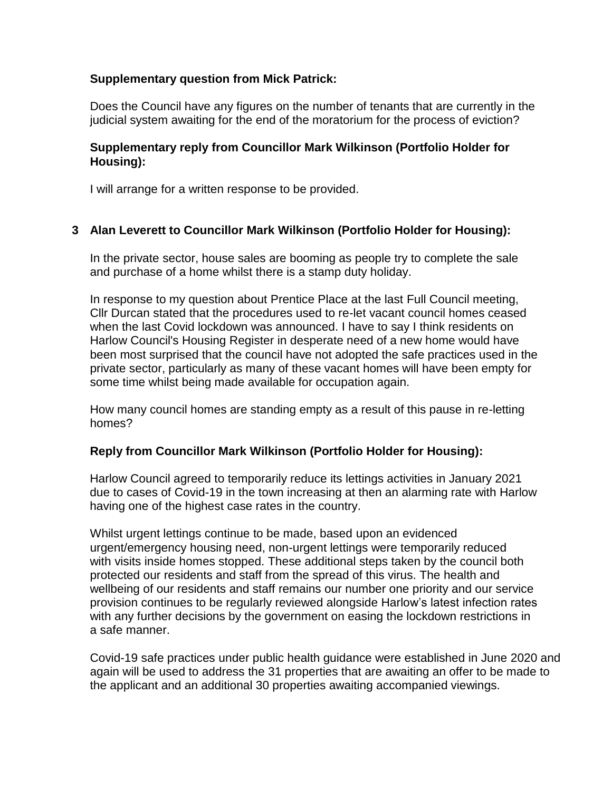# **Supplementary question from Mick Patrick:**

Does the Council have any figures on the number of tenants that are currently in the judicial system awaiting for the end of the moratorium for the process of eviction?

### **Supplementary reply from Councillor Mark Wilkinson (Portfolio Holder for Housing):**

I will arrange for a written response to be provided.

# **3 Alan Leverett to Councillor Mark Wilkinson (Portfolio Holder for Housing):**

In the private sector, house sales are booming as people try to complete the sale and purchase of a home whilst there is a stamp duty holiday.

In response to my question about Prentice Place at the last Full Council meeting, Cllr Durcan stated that the procedures used to re-let vacant council homes ceased when the last Covid lockdown was announced. I have to say I think residents on Harlow Council's Housing Register in desperate need of a new home would have been most surprised that the council have not adopted the safe practices used in the private sector, particularly as many of these vacant homes will have been empty for some time whilst being made available for occupation again.

How many council homes are standing empty as a result of this pause in re-letting homes?

### **Reply from Councillor Mark Wilkinson (Portfolio Holder for Housing):**

Harlow Council agreed to temporarily reduce its lettings activities in January 2021 due to cases of Covid-19 in the town increasing at then an alarming rate with Harlow having one of the highest case rates in the country.

Whilst urgent lettings continue to be made, based upon an evidenced urgent/emergency housing need, non-urgent lettings were temporarily reduced with visits inside homes stopped. These additional steps taken by the council both protected our residents and staff from the spread of this virus. The health and wellbeing of our residents and staff remains our number one priority and our service provision continues to be regularly reviewed alongside Harlow's latest infection rates with any further decisions by the government on easing the lockdown restrictions in a safe manner.

Covid-19 safe practices under public health guidance were established in June 2020 and again will be used to address the 31 properties that are awaiting an offer to be made to the applicant and an additional 30 properties awaiting accompanied viewings.